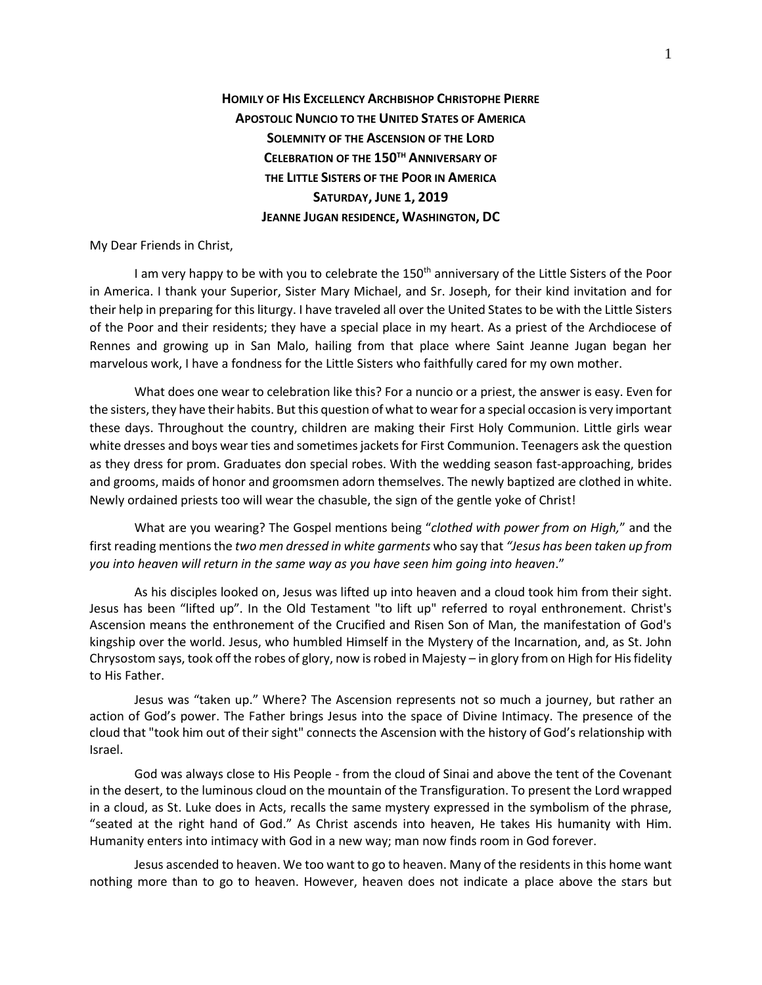**HOMILY OF HIS EXCELLENCY ARCHBISHOP CHRISTOPHE PIERRE APOSTOLIC NUNCIO TO THE UNITED STATES OF AMERICA SOLEMNITY OF THE ASCENSION OF THE LORD CELEBRATION OF THE 150TH ANNIVERSARY OF THE LITTLE SISTERS OF THE POOR IN AMERICA SATURDAY, JUNE 1, 2019 JEANNE JUGAN RESIDENCE, WASHINGTON, DC**

## My Dear Friends in Christ,

I am very happy to be with you to celebrate the 150<sup>th</sup> anniversary of the Little Sisters of the Poor in America. I thank your Superior, Sister Mary Michael, and Sr. Joseph, for their kind invitation and for their help in preparing for this liturgy. I have traveled all over the United States to be with the Little Sisters of the Poor and their residents; they have a special place in my heart. As a priest of the Archdiocese of Rennes and growing up in San Malo, hailing from that place where Saint Jeanne Jugan began her marvelous work, I have a fondness for the Little Sisters who faithfully cared for my own mother.

What does one wear to celebration like this? For a nuncio or a priest, the answer is easy. Even for the sisters, they have their habits. But this question of what to wear for a special occasion is very important these days. Throughout the country, children are making their First Holy Communion. Little girls wear white dresses and boys wear ties and sometimes jackets for First Communion. Teenagers ask the question as they dress for prom. Graduates don special robes. With the wedding season fast-approaching, brides and grooms, maids of honor and groomsmen adorn themselves. The newly baptized are clothed in white. Newly ordained priests too will wear the chasuble, the sign of the gentle yoke of Christ!

What are you wearing? The Gospel mentions being "*clothed with power from on High,*" and the first reading mentions the *two men dressed in white garments* who say that *"Jesus has been taken up from you into heaven will return in the same way as you have seen him going into heaven*."

As his disciples looked on, Jesus was lifted up into heaven and a cloud took him from their sight. Jesus has been "lifted up". In the Old Testament "to lift up" referred to royal enthronement. Christ's Ascension means the enthronement of the Crucified and Risen Son of Man, the manifestation of God's kingship over the world. Jesus, who humbled Himself in the Mystery of the Incarnation, and, as St. John Chrysostom says, took off the robes of glory, now is robed in Majesty – in glory from on High for His fidelity to His Father.

Jesus was "taken up." Where? The Ascension represents not so much a journey, but rather an action of God's power. The Father brings Jesus into the space of Divine Intimacy. The presence of the cloud that "took him out of their sight" connects the Ascension with the history of God's relationship with Israel.

God was always close to His People - from the cloud of Sinai and above the tent of the Covenant in the desert, to the luminous cloud on the mountain of the Transfiguration. To present the Lord wrapped in a cloud, as St. Luke does in Acts, recalls the same mystery expressed in the symbolism of the phrase, "seated at the right hand of God." As Christ ascends into heaven, He takes His humanity with Him. Humanity enters into intimacy with God in a new way; man now finds room in God forever.

Jesus ascended to heaven. We too want to go to heaven. Many of the residents in this home want nothing more than to go to heaven. However, heaven does not indicate a place above the stars but